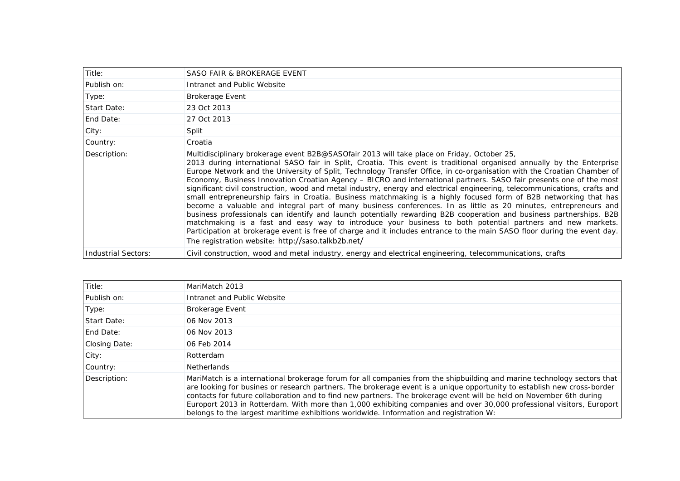| Title:              | SASO FAIR & BROKERAGE EVENT                                                                                                                                                                                                                                                                                                                                                                                                                                                                                                                                                                                                                                                                                                                                                                                                                                                                                                                                                                                                                                                                                                                                                                                                                                       |
|---------------------|-------------------------------------------------------------------------------------------------------------------------------------------------------------------------------------------------------------------------------------------------------------------------------------------------------------------------------------------------------------------------------------------------------------------------------------------------------------------------------------------------------------------------------------------------------------------------------------------------------------------------------------------------------------------------------------------------------------------------------------------------------------------------------------------------------------------------------------------------------------------------------------------------------------------------------------------------------------------------------------------------------------------------------------------------------------------------------------------------------------------------------------------------------------------------------------------------------------------------------------------------------------------|
| Publish on:         | Intranet and Public Website                                                                                                                                                                                                                                                                                                                                                                                                                                                                                                                                                                                                                                                                                                                                                                                                                                                                                                                                                                                                                                                                                                                                                                                                                                       |
| Type:               | <b>Brokerage Event</b>                                                                                                                                                                                                                                                                                                                                                                                                                                                                                                                                                                                                                                                                                                                                                                                                                                                                                                                                                                                                                                                                                                                                                                                                                                            |
| Start Date:         | 23 Oct 2013                                                                                                                                                                                                                                                                                                                                                                                                                                                                                                                                                                                                                                                                                                                                                                                                                                                                                                                                                                                                                                                                                                                                                                                                                                                       |
| End Date:           | 27 Oct 2013                                                                                                                                                                                                                                                                                                                                                                                                                                                                                                                                                                                                                                                                                                                                                                                                                                                                                                                                                                                                                                                                                                                                                                                                                                                       |
| City:               | Split                                                                                                                                                                                                                                                                                                                                                                                                                                                                                                                                                                                                                                                                                                                                                                                                                                                                                                                                                                                                                                                                                                                                                                                                                                                             |
| Country:            | Croatia                                                                                                                                                                                                                                                                                                                                                                                                                                                                                                                                                                                                                                                                                                                                                                                                                                                                                                                                                                                                                                                                                                                                                                                                                                                           |
| Description:        | Multidisciplinary brokerage event B2B@SASOfair 2013 will take place on Friday, October 25,<br>2013 during international SASO fair in Split, Croatia. This event is traditional organised annually by the Enterprise<br>Europe Network and the University of Split, Technology Transfer Office, in co-organisation with the Croatian Chamber of<br>Economy, Business Innovation Croatian Agency - BICRO and international partners. SASO fair presents one of the most<br>significant civil construction, wood and metal industry, energy and electrical engineering, telecommunications, crafts and<br>small entrepreneurship fairs in Croatia. Business matchmaking is a highly focused form of B2B networking that has<br>become a valuable and integral part of many business conferences. In as little as 20 minutes, entrepreneurs and<br>business professionals can identify and launch potentially rewarding B2B cooperation and business partnerships. B2B<br>matchmaking is a fast and easy way to introduce your business to both potential partners and new markets.<br>Participation at brokerage event is free of charge and it includes entrance to the main SASO floor during the event day.<br>The registration website: http://saso.talkb2b.net/ |
| Industrial Sectors: | Civil construction, wood and metal industry, energy and electrical engineering, telecommunications, crafts                                                                                                                                                                                                                                                                                                                                                                                                                                                                                                                                                                                                                                                                                                                                                                                                                                                                                                                                                                                                                                                                                                                                                        |

| Title:        | MariMatch 2013                                                                                                                                                                                                                                                                                                                                                                                                                                                                                                                                                                               |
|---------------|----------------------------------------------------------------------------------------------------------------------------------------------------------------------------------------------------------------------------------------------------------------------------------------------------------------------------------------------------------------------------------------------------------------------------------------------------------------------------------------------------------------------------------------------------------------------------------------------|
| Publish on:   | Intranet and Public Website                                                                                                                                                                                                                                                                                                                                                                                                                                                                                                                                                                  |
| Type:         | <b>Brokerage Event</b>                                                                                                                                                                                                                                                                                                                                                                                                                                                                                                                                                                       |
| Start Date:   | 06 Nov 2013                                                                                                                                                                                                                                                                                                                                                                                                                                                                                                                                                                                  |
| End Date:     | 06 Nov 2013                                                                                                                                                                                                                                                                                                                                                                                                                                                                                                                                                                                  |
| Closing Date: | 06 Feb 2014                                                                                                                                                                                                                                                                                                                                                                                                                                                                                                                                                                                  |
| City:         | Rotterdam                                                                                                                                                                                                                                                                                                                                                                                                                                                                                                                                                                                    |
| Country:      | <b>Netherlands</b>                                                                                                                                                                                                                                                                                                                                                                                                                                                                                                                                                                           |
| Description:  | MariMatch is a international brokerage forum for all companies from the shipbuilding and marine technology sectors that<br>are looking for busines or research partners. The brokerage event is a unique opportunity to establish new cross-border<br>contacts for future collaboration and to find new partners. The brokerage event will be held on November 6th during<br>Europort 2013 in Rotterdam. With more than 1,000 exhibiting companies and over 30,000 professional visitors, Europort<br>belongs to the largest maritime exhibitions worldwide. Information and registration W: |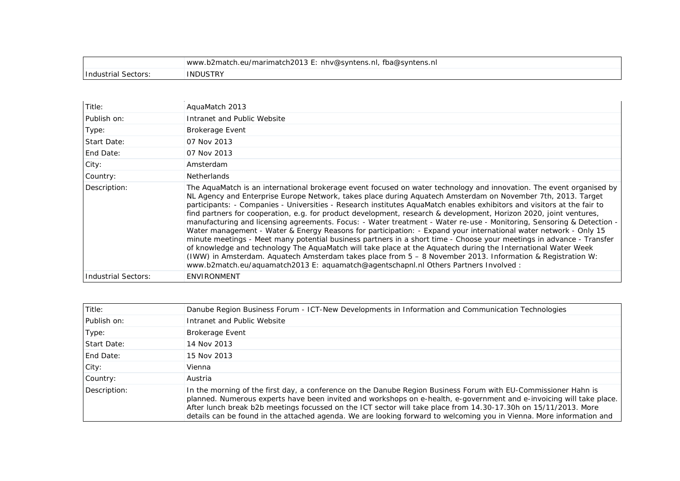|                     | www.b2match.eu/marimatch2013 E: nhv@syntens.nl, fba@syntens.nl |
|---------------------|----------------------------------------------------------------|
| Industrial Sectors: | INDUSTRY                                                       |

| Title:              | AquaMatch 2013                                                                                                                                                                                                                                                                                                                                                                                                                                                                                                                                                                                                                                                                                                                                                                                                                                                                                                                                                                                                                                                                                                                                                                    |
|---------------------|-----------------------------------------------------------------------------------------------------------------------------------------------------------------------------------------------------------------------------------------------------------------------------------------------------------------------------------------------------------------------------------------------------------------------------------------------------------------------------------------------------------------------------------------------------------------------------------------------------------------------------------------------------------------------------------------------------------------------------------------------------------------------------------------------------------------------------------------------------------------------------------------------------------------------------------------------------------------------------------------------------------------------------------------------------------------------------------------------------------------------------------------------------------------------------------|
| Publish on:         | Intranet and Public Website                                                                                                                                                                                                                                                                                                                                                                                                                                                                                                                                                                                                                                                                                                                                                                                                                                                                                                                                                                                                                                                                                                                                                       |
| Type:               | <b>Brokerage Event</b>                                                                                                                                                                                                                                                                                                                                                                                                                                                                                                                                                                                                                                                                                                                                                                                                                                                                                                                                                                                                                                                                                                                                                            |
| Start Date:         | 07 Nov 2013                                                                                                                                                                                                                                                                                                                                                                                                                                                                                                                                                                                                                                                                                                                                                                                                                                                                                                                                                                                                                                                                                                                                                                       |
| End Date:           | 07 Nov 2013                                                                                                                                                                                                                                                                                                                                                                                                                                                                                                                                                                                                                                                                                                                                                                                                                                                                                                                                                                                                                                                                                                                                                                       |
| City:               | Amsterdam                                                                                                                                                                                                                                                                                                                                                                                                                                                                                                                                                                                                                                                                                                                                                                                                                                                                                                                                                                                                                                                                                                                                                                         |
| Country:            | <b>Netherlands</b>                                                                                                                                                                                                                                                                                                                                                                                                                                                                                                                                                                                                                                                                                                                                                                                                                                                                                                                                                                                                                                                                                                                                                                |
| Description:        | The AquaMatch is an international brokerage event focused on water technology and innovation. The event organised by<br>NL Agency and Enterprise Europe Network, takes place during Aguatech Amsterdam on November 7th, 2013. Target<br>participants: - Companies - Universities - Research institutes AguaMatch enables exhibitors and visitors at the fair to<br>find partners for cooperation, e.g. for product development, research & development, Horizon 2020, joint ventures,<br>manufacturing and licensing agreements. Focus: - Water treatment - Water re-use - Monitoring, Sensoring & Detection -<br>Water management - Water & Energy Reasons for participation: - Expand your international water network - Only 15<br>minute meetings - Meet many potential business partners in a short time - Choose your meetings in advance - Transfer<br>of knowledge and technology The AquaMatch will take place at the Aquatech during the International Water Week<br>(IWW) in Amsterdam. Aquatech Amsterdam takes place from 5 - 8 November 2013. Information & Registration W:<br>www.b2match.eu/aquamatch2013 E: aquamatch@agentschapnl.nl Others Partners Involved : |
| Industrial Sectors: | <b>ENVIRONMENT</b>                                                                                                                                                                                                                                                                                                                                                                                                                                                                                                                                                                                                                                                                                                                                                                                                                                                                                                                                                                                                                                                                                                                                                                |

| Title:       | Danube Region Business Forum - ICT-New Developments in Information and Communication Technologies                                                                                                                                                                                                                                                                                                                                                                                 |
|--------------|-----------------------------------------------------------------------------------------------------------------------------------------------------------------------------------------------------------------------------------------------------------------------------------------------------------------------------------------------------------------------------------------------------------------------------------------------------------------------------------|
| Publish on:  | Intranet and Public Website                                                                                                                                                                                                                                                                                                                                                                                                                                                       |
| Type:        | <b>Brokerage Event</b>                                                                                                                                                                                                                                                                                                                                                                                                                                                            |
| Start Date:  | 14 Nov 2013                                                                                                                                                                                                                                                                                                                                                                                                                                                                       |
| End Date:    | 15 Nov 2013                                                                                                                                                                                                                                                                                                                                                                                                                                                                       |
| City:        | Vienna                                                                                                                                                                                                                                                                                                                                                                                                                                                                            |
| Country:     | Austria                                                                                                                                                                                                                                                                                                                                                                                                                                                                           |
| Description: | In the morning of the first day, a conference on the Danube Region Business Forum with EU-Commissioner Hahn is<br>planned. Numerous experts have been invited and workshops on e-health, e-government and e-invoicing will take place.<br>After lunch break b2b meetings focussed on the ICT sector will take place from 14.30-17.30h on 15/11/2013. More<br>details can be found in the attached agenda. We are looking forward to welcoming you in Vienna. More information and |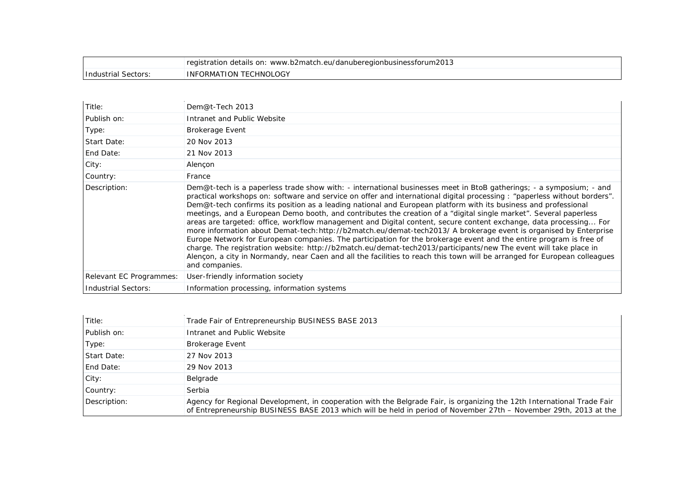|                       | registration details on: www.b2match.eu/danuberegionbusinessforum2013 |
|-----------------------|-----------------------------------------------------------------------|
| Sectors<br>Thanstrial | <b>INFORMATION TECHNOLOGY</b>                                         |
|                       |                                                                       |

| Title:                     | Dem@t-Tech 2013                                                                                                                                                                                                                                                                                                                                                                                                                                                                                                                                                                                                                                                                                                                                                                                                                                                                                                                                                                                                                                                                                                             |
|----------------------------|-----------------------------------------------------------------------------------------------------------------------------------------------------------------------------------------------------------------------------------------------------------------------------------------------------------------------------------------------------------------------------------------------------------------------------------------------------------------------------------------------------------------------------------------------------------------------------------------------------------------------------------------------------------------------------------------------------------------------------------------------------------------------------------------------------------------------------------------------------------------------------------------------------------------------------------------------------------------------------------------------------------------------------------------------------------------------------------------------------------------------------|
| Publish on:                | Intranet and Public Website                                                                                                                                                                                                                                                                                                                                                                                                                                                                                                                                                                                                                                                                                                                                                                                                                                                                                                                                                                                                                                                                                                 |
| Type:                      | <b>Brokerage Event</b>                                                                                                                                                                                                                                                                                                                                                                                                                                                                                                                                                                                                                                                                                                                                                                                                                                                                                                                                                                                                                                                                                                      |
| Start Date:                | 20 Nov 2013                                                                                                                                                                                                                                                                                                                                                                                                                                                                                                                                                                                                                                                                                                                                                                                                                                                                                                                                                                                                                                                                                                                 |
| End Date:                  | 21 Nov 2013                                                                                                                                                                                                                                                                                                                                                                                                                                                                                                                                                                                                                                                                                                                                                                                                                                                                                                                                                                                                                                                                                                                 |
| City:                      | Alençon                                                                                                                                                                                                                                                                                                                                                                                                                                                                                                                                                                                                                                                                                                                                                                                                                                                                                                                                                                                                                                                                                                                     |
| Country:                   | France                                                                                                                                                                                                                                                                                                                                                                                                                                                                                                                                                                                                                                                                                                                                                                                                                                                                                                                                                                                                                                                                                                                      |
| Description:               | Dem@t-tech is a paperless trade show with: - international businesses meet in BtoB gatherings; - a symposium; - and<br>practical workshops on: software and service on offer and international digital processing : "paperless without borders".<br>Dem@t-tech confirms its position as a leading national and European platform with its business and professional<br>meetings, and a European Demo booth, and contributes the creation of a "digital single market". Several paperless<br>areas are targeted: office, workflow management and Digital content, secure content exchange, data processing For<br>more information about Demat-tech: http://b2match.eu/demat-tech2013/ A brokerage event is organised by Enterprise<br>Europe Network for European companies. The participation for the brokerage event and the entire program is free of<br>charge. The registration website: http://b2match.eu/demat-tech2013/participants/new The event will take place in<br>Alencon, a city in Normandy, near Caen and all the facilities to reach this town will be arranged for European colleagues<br>and companies. |
| Relevant EC Programmes:    | User-friendly information society                                                                                                                                                                                                                                                                                                                                                                                                                                                                                                                                                                                                                                                                                                                                                                                                                                                                                                                                                                                                                                                                                           |
| <b>Industrial Sectors:</b> | Information processing, information systems                                                                                                                                                                                                                                                                                                                                                                                                                                                                                                                                                                                                                                                                                                                                                                                                                                                                                                                                                                                                                                                                                 |

| Title:           | Trade Fair of Entrepreneurship BUSINESS BASE 2013                                                                                                                                                                                            |
|------------------|----------------------------------------------------------------------------------------------------------------------------------------------------------------------------------------------------------------------------------------------|
| Publish on:      | Intranet and Public Website                                                                                                                                                                                                                  |
| Type:            | <b>Brokerage Event</b>                                                                                                                                                                                                                       |
| Start Date:      | 27 Nov 2013                                                                                                                                                                                                                                  |
| <b>End Date:</b> | 29 Nov 2013                                                                                                                                                                                                                                  |
| City:            | Belgrade                                                                                                                                                                                                                                     |
| Country:         | Serbia                                                                                                                                                                                                                                       |
| Description:     | Agency for Regional Development, in cooperation with the Belgrade Fair, is organizing the 12th International Trade Fair<br>of Entrepreneurship BUSINESS BASE 2013 which will be held in period of November 27th - November 29th, 2013 at the |